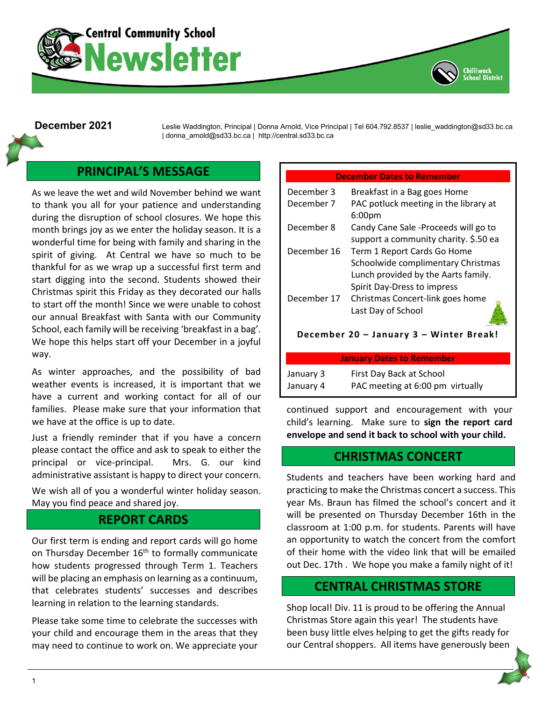



December 2021 Leslie Waddington, Principal | Donna Arnold, Vice Principal | Tel 604.792.8537 | leslie waddington@sd33.bc.ca | donna\_arnold@sd33.bc.ca | http://central.sd33.bc.ca

## **PRINCIPAL'S MESSAGE**

As we leave the wet and wild November behind we want to thank you all for your patience and understanding during the disruption of school closures. We hope this month brings joy as we enter the holiday season. It is a wonderful time for being with family and sharing in the spirit of giving. At Central we have so much to be thankful for as we wrap up a successful first term and start digging into the second. Students showed their Christmas spirit this Friday as they decorated our halls to start off the month! Since we were unable to cohost our annual Breakfast with Santa with our Community School, each family will be receiving 'breakfast in a bag'. We hope this helps start off your December in a joyful way.

As winter approaches, and the possibility of bad weather events is increased, it is important that we have a current and working contact for all of our families. Please make sure that your information that we have at the office is up to date.

Just a friendly reminder that if you have a concern please contact the office and ask to speak to either the principal or vice-principal. Mrs. G. our kind administrative assistant is happy to direct your concern.

We wish all of you a wonderful winter holiday season. May you find peace and shared joy.

### **REPORT CARDS**

Our first term is ending and report cards will go home on Thursday December 16<sup>th</sup> to formally communicate how students progressed through Term 1. Teachers will be placing an emphasis on learning as a continuum, that celebrates students' successes and describes learning in relation to the learning standards.

Please take some time to celebrate the successes with your child and encourage them in the areas that they may need to continue to work on. We appreciate your

#### **December Dates to Remember**

C<mark>hi</mark>lliwack<br>School District

| December 3  | Breakfast in a Bag goes Home          |
|-------------|---------------------------------------|
| December 7  | PAC potluck meeting in the library at |
|             | 6:00pm                                |
| December 8  | Candy Cane Sale -Proceeds will go to  |
|             | support a community charity. \$.50 ea |
| December 16 | Term 1 Report Cards Go Home           |
|             | Schoolwide complimentary Christmas    |
|             | Lunch provided by the Aarts family.   |
|             | Spirit Day-Dress to impress           |
| December 17 | Christmas Concert-link goes home      |
|             | Last Day of School                    |

**December 20 – January 3 – Winter Break!**

| <b>January Dates to Remember</b> |                                  |
|----------------------------------|----------------------------------|
| January 3                        | First Day Back at School         |
| January 4                        | PAC meeting at 6:00 pm virtually |

continued support and encouragement with your child's learning. Make sure to **sign the report card envelope and send it back to school with your child.**

### **CHRISTMAS CONCERT**

Students and teachers have been working hard and practicing to make the Christmas concert a success. This year Ms. Braun has filmed the school's concert and it will be presented on Thursday December 16th in the classroom at 1:00 p.m. for students. Parents will have an opportunity to watch the concert from the comfort of their home with the video link that will be emailed out Dec. 17th . We hope you make a family night of it!

### **CENTRAL CHRISTMAS STORE**

Shop local! Div. 11 is proud to be offering the Annual Christmas Store again this year! The students have been busy little elves helping to get the gifts ready for our Central shoppers. All items have generously been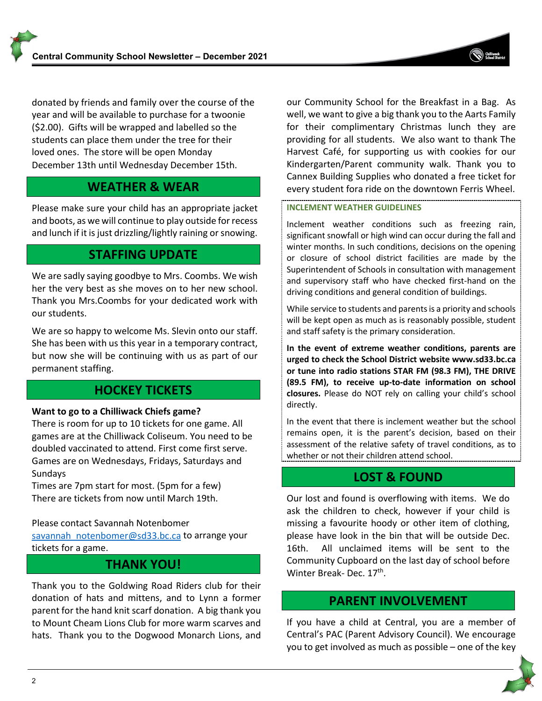donated by friends and family over the course of the year and will be available to purchase for a twoonie (\$2.00). Gifts will be wrapped and labelled so the students can place them under the tree for their loved ones. The store will be open Monday December 13th until Wednesday December 15th.

# **WEATHER & WEAR**

Please make sure your child has an appropriate jacket and boots, as we will continue to play outside for recess and lunch if it is just drizzling/lightly raining or snowing.

# **STAFFING UPDATE**

We are sadly saying goodbye to Mrs. Coombs. We wish her the very best as she moves on to her new school. Thank you Mrs.Coombs for your dedicated work with our students.

We are so happy to welcome Ms. Slevin onto our staff. She has been with us this year in a temporary contract, but now she will be continuing with us as part of our permanent staffing.

# **HOCKEY TICKETS**

#### **Want to go to a Chilliwack Chiefs game?**

There is room for up to 10 tickets for one game. All games are at the Chilliwack Coliseum. You need to be doubled vaccinated to attend. First come first serve. Games are on Wednesdays, Fridays, Saturdays and **Sundays** 

Times are 7pm start for most. (5pm for a few) There are tickets from now until March 19th.

#### Please contact Savannah Notenbomer

[savannah\\_notenbomer@sd33.bc.ca](mailto:savannah_notenbomer@sd33.bc.ca) to arrange your tickets for a game.

## **THANK YOU!**

Thank you to the Goldwing Road Riders club for their donation of hats and mittens, and to Lynn a former parent for the hand knit scarf donation. A big thank you to Mount Cheam Lions Club for more warm scarves and hats. Thank you to the Dogwood Monarch Lions, and our Community School for the Breakfast in a Bag. As well, we want to give a big thank you to the Aarts Family for their complimentary Christmas lunch they are providing for all students. We also want to thank The Harvest Café, for supporting us with cookies for our Kindergarten/Parent community walk. Thank you to Cannex Building Supplies who donated a free ticket for every student fora ride on the downtown Ferris Wheel.

#### **INCLEMENT WEATHER GUIDELINES**

Inclement weather conditions such as freezing rain, significant snowfall or high wind can occur during the fall and winter months. In such conditions, decisions on the opening or closure of school district facilities are made by the Superintendent of Schools in consultation with management and supervisory staff who have checked first-hand on the driving conditions and general condition of buildings.

While service to students and parents is a priority and schools will be kept open as much as is reasonably possible, student and staff safety is the primary consideration.

**In the event of extreme weather conditions, parents are urged to check the School District website [www.sd33.bc.ca](http://www.sd33.bc.ca/) or tune into radio stations STAR FM (98.3 FM), THE DRIVE (89.5 FM), to receive up-to-date information on school closures.** Please do NOT rely on calling your child's school directly.

In the event that there is inclement weather but the school remains open, it is the parent's decision, based on their assessment of the relative safety of travel conditions, as to whether or not their children attend school.

# **LOST & FOUND**

Our lost and found is overflowing with items. We do ask the children to check, however if your child is missing a favourite hoody or other item of clothing, please have look in the bin that will be outside Dec. 16th. All unclaimed items will be sent to the Community Cupboard on the last day of school before Winter Break- Dec. 17<sup>th</sup>.

## **PARENT INVOLVEMENT**

If you have a child at Central, you are a member of Central's PAC (Parent Advisory Council). We encourage you to get involved as much as possible – one of the key